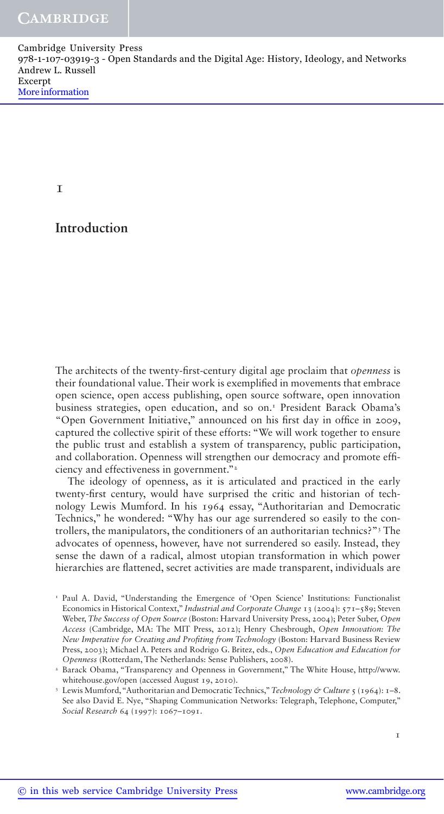The architects of the twenty-first-century digital age proclaim that *openness* is their foundational value. Their work is exemplified in movements that embrace open science, open access publishing, open source software, open innovation business strategies, open education, and so on.<sup>1</sup> President Barack Obama's "Open Government Initiative," announced on his first day in office in 2009, captured the collective spirit of these efforts: "We will work together to ensure the public trust and establish a system of transparency, public participation, and collaboration. Openness will strengthen our democracy and promote efficiency and effectiveness in government."<sup>2</sup>

The ideology of openness, as it is articulated and practiced in the early twenty-first century, would have surprised the critic and historian of technology Lewis Mumford. In his 1964 essay, "Authoritarian and Democratic Technics," he wondered: "Why has our age surrendered so easily to the controllers, the manipulators, the conditioners of an authoritarian technics?"<sup>3</sup> The advocates of openness, however, have not surrendered so easily. Instead, they sense the dawn of a radical, almost utopian transformation in which power hierarchies are flattened, secret activities are made transparent, individuals are

<sup>&</sup>lt;sup>1</sup> Paul A. David, "Understanding the Emergence of 'Open Science' Institutions: Functionalist Economics in Historical Context," *Industrial and Corporate Change* 13 (2004): 571-589; Steven Weber, *The Success of Open Source* (Boston: Harvard University Press, 2004); Peter Suber, Open *Access* (Cambridge, MA: The MIT Press, 2012); Henry Chesbrough, Open Innovation: The *New Imperative for Creating and Profiting from Technology* (Boston: Harvard Business Review Press, 2003); Michael A. Peters and Rodrigo G. Britez, eds., Open Education and Education for *Openness* (Rotterdam, The Netherlands: Sense Publishers, 2008).<br><sup>2</sup> Barack Obama, "Transparency and Openness in Government," The White House, http://www.

whitehouse.gov/open (accessed August 19, 2010).<br><sup>3</sup> Lewis Mumford, "Authoritarian and Democratic Technics," *Technology & Culture* 5 (1964): 1–8.

See also David E. Nye, "Shaping Communication Networks: Telegraph, Telephone, Computer," *Social Research* 64 (1997): 1067-1091.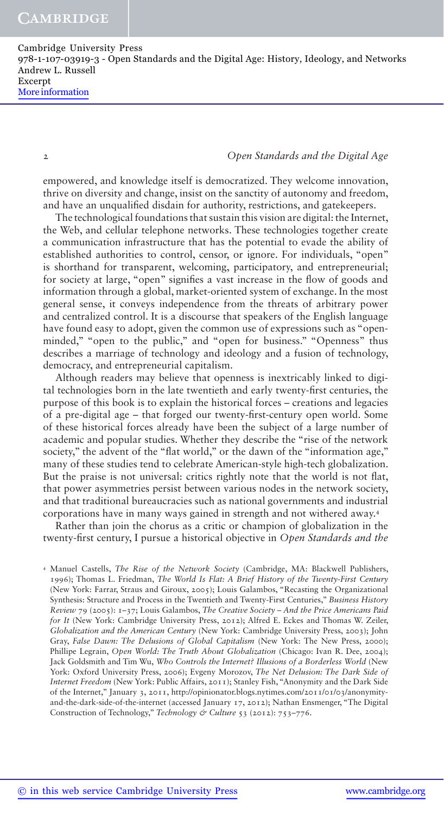empowered, and knowledge itself is democratized. They welcome innovation, thrive on diversity and change, insist on the sanctity of autonomy and freedom, and have an unqualified disdain for authority, restrictions, and gatekeepers.

The technological foundations that sustain this vision are digital: the Internet, the Web, and cellular telephone networks. These technologies together create a communication infrastructure that has the potential to evade the ability of established authorities to control, censor, or ignore. For individuals, "open" is shorthand for transparent, welcoming, participatory, and entrepreneurial; for society at large, "open" signifies a vast increase in the flow of goods and information through a global, market-oriented system of exchange. In the most general sense, it conveys independence from the threats of arbitrary power and centralized control. It is a discourse that speakers of the English language have found easy to adopt, given the common use of expressions such as "openminded," "open to the public," and "open for business." "Openness" thus describes a marriage of technology and ideology and a fusion of technology, democracy, and entrepreneurial capitalism.

Although readers may believe that openness is inextricably linked to digital technologies born in the late twentieth and early twenty-first centuries, the purpose of this book is to explain the historical forces – creations and legacies of a pre-digital age – that forged our twenty-first-century open world. Some of these historical forces already have been the subject of a large number of academic and popular studies. Whether they describe the "rise of the network society," the advent of the "flat world," or the dawn of the "information age," many of these studies tend to celebrate American-style high-tech globalization. But the praise is not universal: critics rightly note that the world is not flat, that power asymmetries persist between various nodes in the network society, and that traditional bureaucracies such as national governments and industrial corporations have in many ways gained in strength and not withered away. 4

Rather than join the chorus as a critic or champion of globalization in the twenty-first century, I pursue a historical objective in *Open Standards and the* 

<sup>4</sup> Manuel Castells, *The Rise of the Network Society* (Cambridge, MA: Blackwell Publishers, 1996 ) ; Thomas L. Friedman , *The World Is Flat: A Brief History of the Twenty-First Century* (New York: Farrar, Straus and Giroux, 2005); Louis Galambos, "Recasting the Organizational Synthesis: Structure and Process in the Twentieth and Twenty-First Centuries ," *Business History Review* 79( 2005 ): 1 –37 ; Louis Galambos , *The Creative Society – And the Price Americans Paid for It* (New York: Cambridge University Press, 2012); Alfred E. Eckes and Thomas W. Zeiler, *Globalization and the American Century* (New York: Cambridge University Press, 2003); John Gray, False Dawn: The Delusions of Global Capitalism (New York: The New Press, 2000); Phillipe Legrain, *Open World: The Truth About Globalization* (Chicago: Ivan R. Dee, 2004); Jack Goldsmith and Tim Wu, *Who Controls the Internet? Illusions of a Borderless World* (New York: Oxford University Press, 2006); Evgeny Morozov, *The Net Delusion: The Dark Side of Internet Freedom* (New York: Public Affairs, 2011); Stanley Fish, "Anonymity and the Dark Side of the Internet," January 3, 2011, http://opinionator.blogs.nytimes.com/2011/01/03/anonymityand-the-dark-side-of-the-internet (accessed January 17, 2012); Nathan Ensmenger, "The Digital Construction of Technology," *Technology & Culture* 53 (2012): 753-776.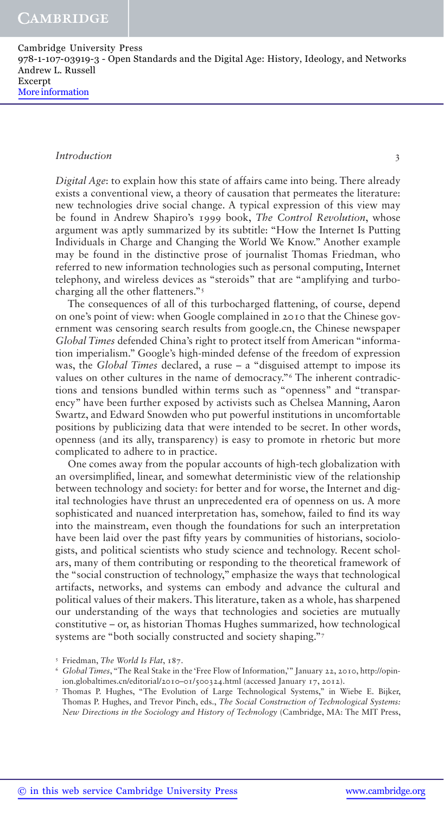*Digital Age*: to explain how this state of affairs came into being. There already exists a conventional view, a theory of causation that permeates the literature: new technologies drive social change. A typical expression of this view may be found in Andrew Shapiro's 1999 book, *The Control Revolution*, whose argument was aptly summarized by its subtitle: "How the Internet Is Putting Individuals in Charge and Changing the World We Know." Another example may be found in the distinctive prose of journalist Thomas Friedman, who referred to new information technologies such as personal computing, Internet telephony, and wireless devices as "steroids" that are "amplifying and turbocharging all the other flatteners."<sup>5</sup>

The consequences of all of this turbocharged flattening, of course, depend on one's point of view: when Google complained in 2010 that the Chinese government was censoring search results from google.cn, the Chinese newspaper *Global Times* defended China's right to protect itself from American "information imperialism." Google's high-minded defense of the freedom of expression was, the *Global Times* declared, a ruse – a "disguised attempt to impose its values on other cultures in the name of democracy."<sup>6</sup> The inherent contradictions and tensions bundled within terms such as "openness" and "transparency" have been further exposed by activists such as Chelsea Manning, Aaron Swartz, and Edward Snowden who put powerful institutions in uncomfortable positions by publicizing data that were intended to be secret. In other words, openness (and its ally, transparency) is easy to promote in rhetoric but more complicated to adhere to in practice.

One comes away from the popular accounts of high-tech globalization with an oversimplified, linear, and somewhat deterministic view of the relationship between technology and society: for better and for worse, the Internet and digital technologies have thrust an unprecedented era of openness on us. A more sophisticated and nuanced interpretation has, somehow, failed to find its way into the mainstream, even though the foundations for such an interpretation have been laid over the past fifty years by communities of historians, sociologists, and political scientists who study science and technology. Recent scholars, many of them contributing or responding to the theoretical framework of the "social construction of technology," emphasize the ways that technological artifacts, networks, and systems can embody and advance the cultural and political values of their makers. This literature, taken as a whole, has sharpened our understanding of the ways that technologies and societies are mutually constitutive – or, as historian Thomas Hughes summarized, how technological systems are "both socially constructed and society shaping."7

5 Friedman, *The World Is Flat* , 187. 6 *Global Times*, "The Real Stake in the 'Free Flow of Information,'" January 22, 2010, http://opinion.globaltimes.cn/editorial/2010–01/500324.html (accessed January 17, 2012).<br>7 Thomas P. Hughes, "The Evolution of Large Technological Systems," in Wiebe E. Bijker,

Thomas P. Hughes, and Trevor Pinch, eds., *The Social Construction of Technological Systems*: *New Directions in the Sociology and History of Technology* (Cambridge, MA: The MIT Press,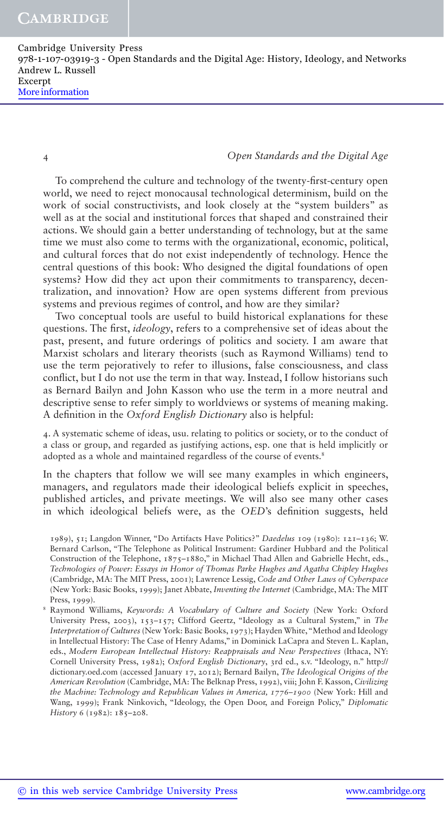To comprehend the culture and technology of the twenty-first-century open world, we need to reject monocausal technological determinism, build on the work of social constructivists, and look closely at the "system builders" as well as at the social and institutional forces that shaped and constrained their actions. We should gain a better understanding of technology, but at the same time we must also come to terms with the organizational, economic, political, and cultural forces that do not exist independently of technology. Hence the central questions of this book: Who designed the digital foundations of open systems? How did they act upon their commitments to transparency, decentralization, and innovation? How are open systems different from previous systems and previous regimes of control, and how are they similar?

Two conceptual tools are useful to build historical explanations for these questions. The first, *ideology*, refers to a comprehensive set of ideas about the past, present, and future orderings of politics and society. I am aware that Marxist scholars and literary theorists (such as Raymond Williams) tend to use the term pejoratively to refer to illusions, false consciousness, and class conflict, but I do not use the term in that way. Instead, I follow historians such as Bernard Bailyn and John Kasson who use the term in a more neutral and descriptive sense to refer simply to worldviews or systems of meaning making. A definition in the *Oxford English Dictionary* also is helpful:

4. A systematic scheme of ideas, usu. relating to politics or society, or to the conduct of a class or group, and regarded as justifying actions, esp. one that is held implicitly or adopted as a whole and maintained regardless of the course of events.<sup>8</sup>

In the chapters that follow we will see many examples in which engineers, managers, and regulators made their ideological beliefs explicit in speeches, published articles, and private meetings. We will also see many other cases in which ideological beliefs were, as the *OED*'s definition suggests, held

<sup>1989), 51;</sup> Langdon Winner, "Do Artifacts Have Politics?" *Daedelus* 109 (1980): 121-136; W. Bernard Carlson , "The Telephone as Political Instrument: Gardiner Hubbard and the Political Construction of the Telephone, 1875–1880," in Michael Thad Allen and Gabrielle Hecht, eds., *Technologies of Power: Essays in Honor of Thomas Parke Hughes and Agatha Chipley Hughes* ( Cambridge, MA : The MIT Press , 2001 ) ; Lawrence Lessig , *Code and Other Laws of Cyberspace* ( New York : Basic Books , 1999 ) ; Janet Abbate , *Inventing the Internet* ( Cambridge, MA : The MIT

Press, 1999).<br><sup>8</sup> Raymond Williams, *Keywords: A Vocabulary of Culture and Society* (New York: Oxford University Press, 2003), 153-157; Clifford Geertz, "Ideology as a Cultural System," in *The Interpretation of Cultures* (New York: Basic Books, 1973); Hayden White, "Method and Ideology in Intellectual History: The Case of Henry Adams," in Dominick LaCapra and Steven L. Kaplan, eds., *Modern European Intellectual History: Reappraisals and New Perspectives* (Ithaca, NY: Cornell University Press, 1982); *Oxford English Dictionary*, 3rd ed., s.v. "Ideology, n." http:// dictionary.oed.com(accessed January 17, 2012); Bernard Bailyn , *The Ideological Origins of the American Revolution* ( Cambridge, MA : The Belknap Press , 1992 ), viii ; John F. Kasson , *Civilizing the Machine: Technology and Republican Values in America, 1776–1900* (New York: Hill and Wang, 1999); Frank Ninkovich, "Ideology, the Open Door, and Foreign Policy," *Diplomatic History* 6 (1982): 185-208.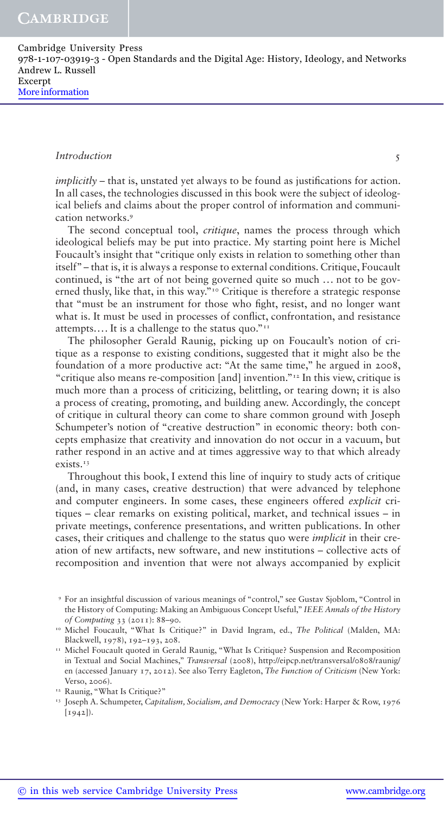$$ In all cases, the technologies discussed in this book were the subject of ideological beliefs and claims about the proper control of information and communication networks. 9

The second conceptual tool, *critique*, names the process through which ideological beliefs may be put into practice. My starting point here is Michel Foucault's insight that "critique only exists in relation to something other than itself" – that is, it is always a response to external conditions. Critique, Foucault continued, is "the art of not being governed quite so much ... not to be governed thusly, like that, in this way."<sup>10</sup> Critique is therefore a strategic response that "must be an instrument for those who fight, resist, and no longer want what is. It must be used in processes of conflict, confrontation, and resistance attempts.... It is a challenge to the status quo." $11$ 

The philosopher Gerald Raunig, picking up on Foucault's notion of critique as a response to existing conditions, suggested that it might also be the foundation of a more productive act: "At the same time," he argued in 2008, "critique also means re-composition [and] invention." 12 In this view, critique is much more than a process of criticizing, belittling, or tearing down; it is also a process of creating, promoting, and building anew. Accordingly, the concept of critique in cultural theory can come to share common ground with Joseph Schumpeter's notion of "creative destruction" in economic theory: both concepts emphasize that creativity and innovation do not occur in a vacuum, but rather respond in an active and at times aggressive way to that which already exists.<sup>13</sup>

Throughout this book, I extend this line of inquiry to study acts of critique (and, in many cases, creative destruction) that were advanced by telephone and computer engineers. In some cases, these engineers offered *explicit* critiques – clear remarks on existing political, market, and technical issues – in private meetings, conference presentations, and written publications. In other cases, their critiques and challenge to the status quo were *implicit* in their creation of new artifacts, new software, and new institutions – collective acts of recomposition and invention that were not always accompanied by explicit

<sup>9</sup> For an insightful discussion of various meanings of "control," see Gustav Sjoblom , " Control in the History of Computing: Making an Ambiguous Concept Useful ," *IEEE Annals of the History of Computing* 33 (2011): 88-90.<br><sup>10</sup> Michel Foucault, "What Is Critique?" in David Ingram, ed., *The Political* (Malden, MA:

Blackwell, 1978), 192–193, 208.<br><sup>11</sup> Michel Foucault quoted in Gerald Raunig, "What Is Critique? Suspension and Recomposition

in Textual and Social Machines," *Transversal* (2008), http://eipcp.net/transversal/0808/raunig/ en (accessed January 17, 2012). See also Terry Eagleton, *The Function of Criticism* (New York: Verso, 2006).<br><sup>12</sup> Raunig, "What Is Critique?"<br><sup>13</sup> Joseph A. Schumpeter, *Capitalism, Socialism, and Democracy* (New York: Harper & Row, 1976

 $[1942]$ .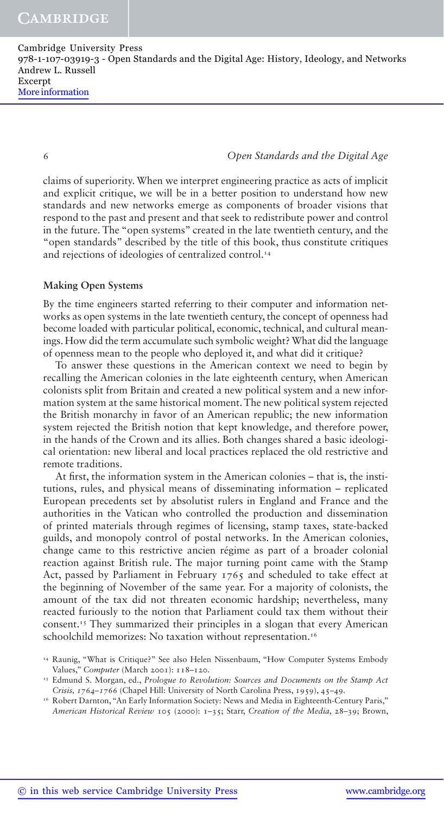claims of superiority. When we interpret engineering practice as acts of implicit and explicit critique, we will be in a better position to understand how new standards and new networks emerge as components of broader visions that respond to the past and present and that seek to redistribute power and control in the future. The "open systems" created in the late twentieth century, and the "open standards" described by the title of this book, thus constitute critiques and rejections of ideologies of centralized control. 14

## **Making Open Systems**

By the time engineers started referring to their computer and information networks as open systems in the late twentieth century, the concept of openness had become loaded with particular political, economic, technical, and cultural meanings. How did the term accumulate such symbolic weight? What did the language of openness mean to the people who deployed it, and what did it critique?

To answer these questions in the American context we need to begin by recalling the American colonies in the late eighteenth century, when American colonists split from Britain and created a new political system and a new information system at the same historical moment. The new political system rejected the British monarchy in favor of an American republic; the new information system rejected the British notion that kept knowledge, and therefore power, in the hands of the Crown and its allies. Both changes shared a basic ideological orientation: new liberal and local practices replaced the old restrictive and remote traditions.

At first, the information system in the American colonies – that is, the institutions, rules, and physical means of disseminating information – replicated European precedents set by absolutist rulers in England and France and the authorities in the Vatican who controlled the production and dissemination of printed materials through regimes of licensing, stamp taxes, state-backed guilds, and monopoly control of postal networks. In the American colonies, change came to this restrictive ancien régime as part of a broader colonial reaction against British rule. The major turning point came with the Stamp Act, passed by Parliament in February 1765 and scheduled to take effect at the beginning of November of the same year. For a majority of colonists, the amount of the tax did not threaten economic hardship; nevertheless, many reacted furiously to the notion that Parliament could tax them without their consent. 15 They summarized their principles in a slogan that every American schoolchild memorizes: No taxation without representation.<sup>16</sup>

<sup>14</sup> Raunig, "What is Critique?" See also Helen Nissenbaum, "How Computer Systems Embody Values," Computer (March 2001):  $118-120$ .

<sup>&</sup>lt;sup>15</sup> Edmund S. Morgan, ed., *Prologue to Revolution: Sources and Documents on the Stamp Act Crisis, 1764–1766* (Chapel Hill: University of North Carolina Press, 1959), 45–49.<br><sup>16</sup> Robert Darnton, "An Early Information Society: News and Media in Eighteenth-Century Paris,"

*American Historical Review* 105 (2000): 1-35; Starr, *Creation of the Media*, 28-39; Brown,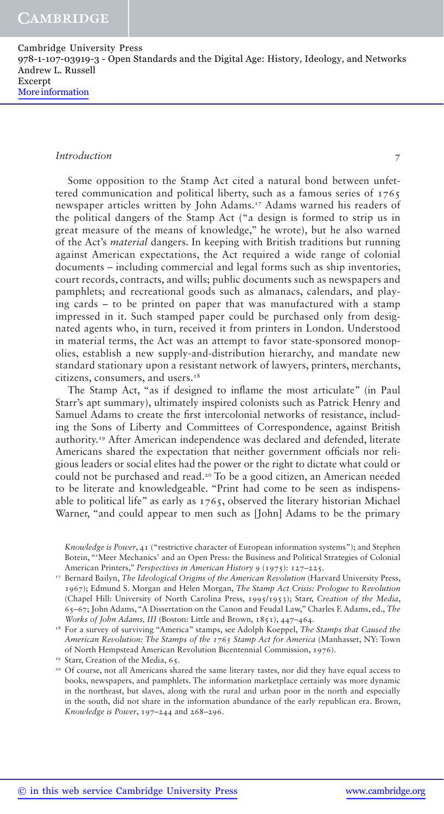Some opposition to the Stamp Act cited a natural bond between unfettered communication and political liberty, such as a famous series of 1765 newspaper articles written by John Adams. 17 Adams warned his readers of the political dangers of the Stamp Act ("a design is formed to strip us in great measure of the means of knowledge," he wrote), but he also warned of the Act's *material* dangers.In keeping with British traditions but running against American expectations, the Act required a wide range of colonial documents – including commercial and legal forms such as ship inventories, court records, contracts, and wills; public documents such as newspapers and pamphlets; and recreational goods such as almanacs, calendars, and playing cards – to be printed on paper that was manufactured with a stamp impressed in it. Such stamped paper could be purchased only from designated agents who, in turn, received it from printers in London. Understood in material terms, the Act was an attempt to favor state-sponsored monopolies, establish a new supply-and-distribution hierarchy, and mandate new standard stationary upon a resistant network of lawyers, printers, merchants, citizens, consumers, and users. 18

The Stamp Act, "as if designed to inflame the most articulate" (in Paul Starr's apt summary), ultimately inspired colonists such as Patrick Henry and Samuel Adams to create the first intercolonial networks of resistance, including the Sons of Liberty and Committees of Correspondence, against British authority. 19 After American independence was declared and defended, literate Americans shared the expectation that neither government officials nor religious leaders or social elites had the power or the right to dictate what could or could not be purchased and read. 20 To be a good citizen, an American needed to be literate and knowledgeable. "Print had come to be seen as indispensable to political life" as early as  $1765$ , observed the literary historian Michael Warner, "and could appear to men such as [John] Adams to be the primary

*Knowledge is Power*, 41 ("restrictive character of European information systems"); and Stephen Botein, "'Meer Mechanics' and an Open Press: the Business and Political Strategies of Colonial American Printers," *Perspectives in American History* 9 (1975): 127–225.<br><sup>17</sup> Bernard Bailyn, *The Ideological Origins of the American Revolution* (Harvard University Press,

- 1967 ) ; Edmund S. Morganand Helen Morgan , *The Stamp Act Crisis: Prologue to Revolution* (Chapel Hill: University of North Carolina Press, 1995/1953); Starr, *Creation of the Media*, 65–67; John Adams , "A Dissertation on the Canon and Feudal Law," Charles F. Adams , ed., *The Works of John Adams, III* (Boston: Little and Brown, 1851), 447-464.<br><sup>18</sup> For a survey of surviving "America" stamps, see Adolph Koeppel, *The Stamps that Caused the*
- *American Revolution: The Stamps of the 1765 Stamp Act for America* ( Manhasset, NY : Town of North Hempstead American Revolution Bicentennial Commission, 1976).<br><sup>19</sup> Starr, Creation of the Media, 65.<br><sup>20</sup> Of course, not all Americans shared the same literary tastes, nor did they have equal access to
- 
- books, newspapers, and pamphlets. The information marketplace certainly was more dynamic in the northeast, but slaves, along with the rural and urban poor in the north and especially in the south, did not share in the information abundance of the early republican era. Brown, *Knowledge is Power* , 197–244 and 268–296.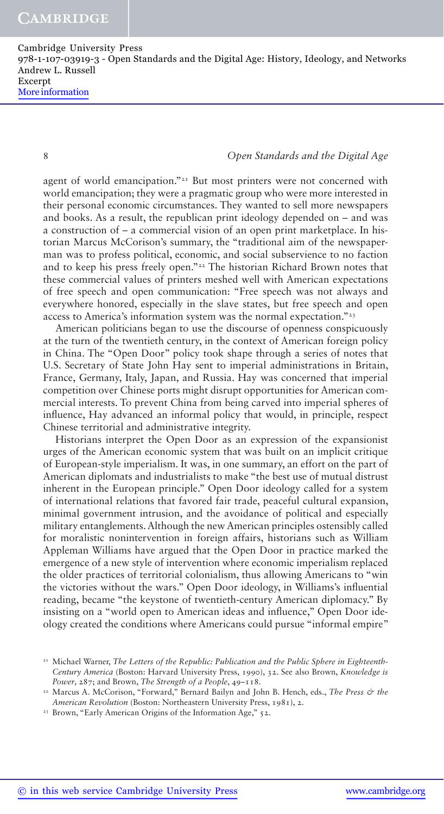agent of world emancipation."<sup>21</sup> But most printers were not concerned with world emancipation; they were a pragmatic group who were more interested in their personal economic circumstances. They wanted to sell more newspapers and books. As a result, the republican print ideology depended on – and was a construction of – a commercial vision of an open print marketplace. In historian Marcus McCorison's summary, the "traditional aim of the newspaperman was to profess political, economic, and social subservience to no faction and to keep his press freely open." 22 The historian Richard Brown notes that these commercial values of printers meshed well with American expectations of free speech and open communication: "Free speech was not always and everywhere honored, especially in the slave states, but free speech and open access to America's information system was the normal expectation."<sup>23</sup>

American politicians began to use the discourse of openness conspicuously at the turn of the twentieth century, in the context of American foreign policy in China. The "Open Door" policy took shape through a series of notes that U.S. Secretary of State John Hay sent to imperial administrations in Britain, France, Germany, Italy, Japan, and Russia. Hay was concerned that imperial competition over Chinese ports might disrupt opportunities for American commercial interests. To prevent China from being carved into imperial spheres of influence, Hay advanced an informal policy that would, in principle, respect Chinese territorial and administrative integrity.

Historians interpret the Open Door as an expression of the expansionist urges of the American economic system that was built on an implicit critique of European-style imperialism. It was, in one summary, an effort on the part of American diplomats and industrialists to make "the best use of mutual distrust inherent in the European principle." Open Door ideology called for a system of international relations that favored fair trade, peaceful cultural expansion, minimal government intrusion, and the avoidance of political and especially military entanglements. Although the new American principles ostensibly called for moralistic nonintervention in foreign affairs, historians such as William Appleman Williams have argued that the Open Door in practice marked the emergence of a new style of intervention where economic imperialism replaced the older practices of territorial colonialism, thus allowing Americans to "win the victories without the wars." Open Door ideology, in Williams's influential reading, became "the keystone of twentieth-century American diplomacy."By insisting on a "world open to American ideas and influence," Open Door ideology created the conditions where Americans could pursue "informal empire"

<sup>&</sup>lt;sup>21</sup> Michael Warner, *The Letters of the Republic: Publication and the Public Sphere in Eighteenth-*Century America (Boston: Harvard University Press, 1990), 32. See also Brown, *Knowledge is Power*, 287; and Brown, *The Strength of a People*, 49–118.<br><sup>22</sup> Marcus A. McCorison, "Forward," Bernard Bailyn and John B. Hench, eds., *The Press & the* 

*American Revolution* (Boston: Northeastern University Press, 1981), 2.<br><sup>23</sup> Brown, "Early American Origins of the Information Age," 52.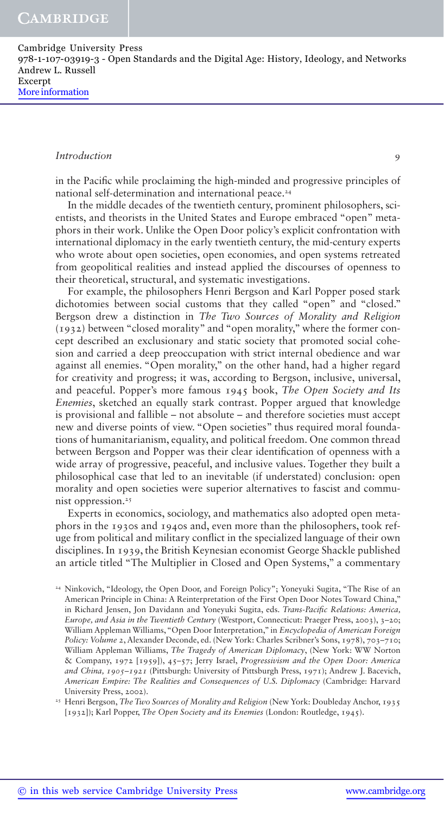in the Pacific while proclaiming the high-minded and progressive principles of national self-determination and international peace. 24

In the middle decades of the twentieth century, prominent philosophers, scientists, and theorists in the United States and Europe embraced "open" metaphors in their work. Unlike the Open Door policy's explicit confrontation with international diplomacy in the early twentieth century, the mid-century experts who wrote about open societies, open economies, and open systems retreated from geopolitical realities and instead applied the discourses of openness to their theoretical, structural, and systematic investigations.

For example, the philosophers Henri Bergson and Karl Popper posed stark dichotomies between social customs that they called "open" and "closed." Bergson drew a distinction in *The Two Sources of Morality and Religion* (1932) between "closed morality" and "open morality," where the former concept described an exclusionary and static society that promoted social cohesion and carried a deep preoccupation with strict internal obedience and war against all enemies. "Open morality," on the other hand, had a higher regard for creativity and progress; it was, according to Bergson, inclusive, universal, and peaceful. Popper's more famous 1945 book, *The Open Society and Its Enemies*, sketched an equally stark contrast. Popper argued that knowledge is provisional and fallible – not absolute – and therefore societies must accept new and diverse points of view. "Open societies" thus required moral foundations of humanitarianism, equality, and political freedom. One common thread between Bergson and Popper was their clear identification of openness with a wide array of progressive, peaceful, and inclusive values. Together they built a philosophical case that led to an inevitable (if understated) conclusion: open morality and open societies were superior alternatives to fascist and communist oppression.<sup>25</sup>

Experts in economics, sociology, and mathematics also adopted open metaphors in the 1930s and 1940s and, even more than the philosophers, took refuge from political and military conflict in the specialized language of their own disciplines. In 1939, the British Keynesian economist George Shackle published an article titled "The Multiplier in Closed and Open Systems," a commentary

<sup>&</sup>lt;sup>24</sup> Ninkovich, "Ideology, the Open Door, and Foreign Policy"; Yoneyuki Sugita, "The Rise of an American Principle in China: A Reinterpretation of the First Open Door Notes Toward China," in Richard Jensen, Jon Davidann and Yoneyuki Sugita, eds. *Trans-Pacific Relations: America*, *Europe, and Asia in the Twentieth Century* (Westport, Connecticut: Praeger Press, 2003), 3-20; William Appleman Williams , "Open Door Interpretation," in *Encyclopedia of American Foreign Policy: Volume 2, Alexander Deconde, ed. (New York: Charles Scribner's Sons, 1978), 703-710;* William Appleman Williams, *The Tragedy of American Diplomacy*, (New York: WW Norton & Company , 1972[1959]), 45–57 ; Jerry Israel , *Progressivism and the Open Door: America*  and China, 1905–1921 (Pittsburgh: University of Pittsburgh Press, 1971); Andrew J. Bacevich, *American Empire: The Realities and Consequences of U.S. Diplomacy (Cambridge: Harvard* University Press, 2002).<br><sup>25</sup> Henri Bergson, *The Two Sources of Morality and Religion* (New York: Doubleday Anchor, 1935

<sup>[1932]);</sup> Karl Popper, *The Open Society and its Enemies* (London: Routledge, 1945).